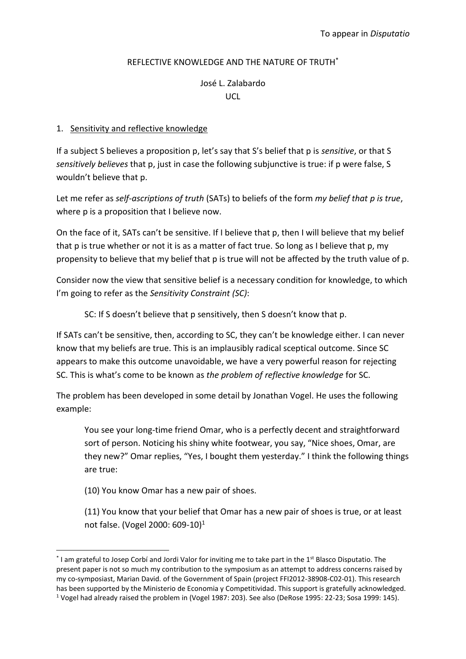## REFLECTIVE KNOWLEDGE AND THE NATURE OF TRUTH\*

# José L. Zalabardo UCL

# 1. Sensitivity and reflective knowledge

If a subject S believes a proposition p, let's say that S's belief that p is *sensitive*, or that S *sensitively believes* that p, just in case the following subjunctive is true: if p were false, S wouldn't believe that p.

Let me refer as *self-ascriptions of truth* (SATs) to beliefs of the form *my belief that p is true*, where p is a proposition that I believe now.

On the face of it, SATs can't be sensitive. If I believe that p, then I will believe that my belief that p is true whether or not it is as a matter of fact true. So long as I believe that p, my propensity to believe that my belief that p is true will not be affected by the truth value of p.

Consider now the view that sensitive belief is a necessary condition for knowledge, to which I'm going to refer as the *Sensitivity Constraint (SC)*:

SC: If S doesn't believe that p sensitively, then S doesn't know that p.

If SATs can't be sensitive, then, according to SC, they can't be knowledge either. I can never know that my beliefs are true. This is an implausibly radical sceptical outcome. Since SC appears to make this outcome unavoidable, we have a very powerful reason for rejecting SC. This is what's come to be known as *the problem of reflective knowledge* for SC.

The problem has been developed in some detail by Jonathan Vogel. He uses the following example:

You see your long-time friend Omar, who is a perfectly decent and straightforward sort of person. Noticing his shiny white footwear, you say, "Nice shoes, Omar, are they new?" Omar replies, "Yes, I bought them yesterday." I think the following things are true:

(10) You know Omar has a new pair of shoes.

-

(11) You know that your belief that Omar has a new pair of shoes is true, or at least not false. [\(Vogel 2000: 609-10\)](#page-17-0) 1

 $^*$  I am grateful to Josep Corbí and Jordi Valor for inviting me to take part in the 1<sup>st</sup> Blasco Disputatio. The present paper is not so much my contribution to the symposium as an attempt to address concerns raised by my co-symposiast, Marian David. of the Government of Spain (project FFI2012-38908-C02-01). This research has been supported by the Ministerio de Economia y Competitividad. This support is gratefully acknowledged.

<sup>1</sup> Vogel had already raised the problem in [\(Vogel 1987: 203\)](#page-17-1). See also [\(DeRose 1995: 22-23;](#page-17-2) [Sosa 1999: 145\)](#page-17-3).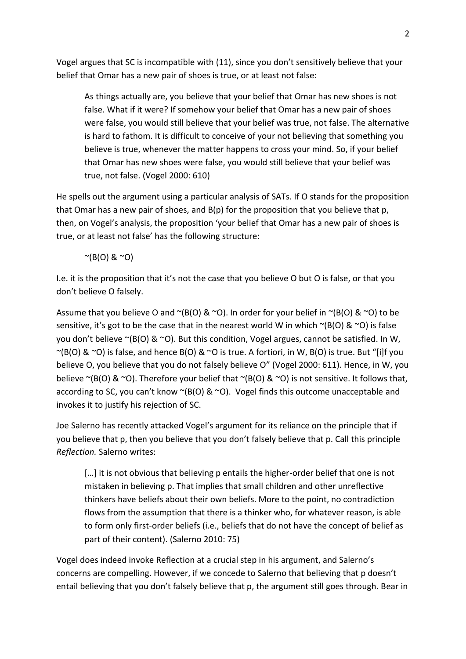Vogel argues that SC is incompatible with (11), since you don't sensitively believe that your belief that Omar has a new pair of shoes is true, or at least not false:

As things actually are, you believe that your belief that Omar has new shoes is not false. What if it were? If somehow your belief that Omar has a new pair of shoes were false, you would still believe that your belief was true, not false. The alternative is hard to fathom. It is difficult to conceive of your not believing that something you believe is true, whenever the matter happens to cross your mind. So, if your belief that Omar has new shoes were false, you would still believe that your belief was true, not false. [\(Vogel 2000: 610\)](#page-17-0)

He spells out the argument using a particular analysis of SATs. If O stands for the proposition that Omar has a new pair of shoes, and  $B(p)$  for the proposition that you believe that p, then, on Vogel's analysis, the proposition 'your belief that Omar has a new pair of shoes is true, or at least not false' has the following structure:

 $^{\sim}$ (B(O) &  $^{\sim}$ O)

I.e. it is the proposition that it's not the case that you believe O but O is false, or that you don't believe O falsely.

Assume that you believe O and  $\sim$ (B(O) &  $\sim$ O). In order for your belief in  $\sim$ (B(O) &  $\sim$ O) to be sensitive, it's got to be the case that in the nearest world W in which  $\sim$ (B(O) &  $\sim$ O) is false you don't believe  $\sim$ (B(O) &  $\sim$ O). But this condition, Vogel argues, cannot be satisfied. In W,  $\sim$ (B(O) &  $\sim$ O) is false, and hence B(O) &  $\sim$ O is true. A fortiori, in W, B(O) is true. But "[i]f you believe O, you believe that you do not falsely believe O" [\(Vogel 2000: 611\)](#page-17-0). Hence, in W, you believe  $\sim$ (B(O) &  $\sim$ O). Therefore your belief that  $\sim$ (B(O) &  $\sim$ O) is not sensitive. It follows that, according to SC, you can't know  $\sim$ (B(O) &  $\sim$ O). Vogel finds this outcome unacceptable and invokes it to justify his rejection of SC.

Joe Salerno has recently attacked Vogel's argument for its reliance on the principle that if you believe that p, then you believe that you don't falsely believe that p. Call this principle *Reflection.* Salerno writes:

[...] it is not obvious that believing p entails the higher-order belief that one is not mistaken in believing p. That implies that small children and other unreflective thinkers have beliefs about their own beliefs. More to the point, no contradiction flows from the assumption that there is a thinker who, for whatever reason, is able to form only first-order beliefs (i.e., beliefs that do not have the concept of belief as part of their content). [\(Salerno 2010: 75\)](#page-17-4)

Vogel does indeed invoke Reflection at a crucial step in his argument, and Salerno's concerns are compelling. However, if we concede to Salerno that believing that p doesn't entail believing that you don't falsely believe that p, the argument still goes through. Bear in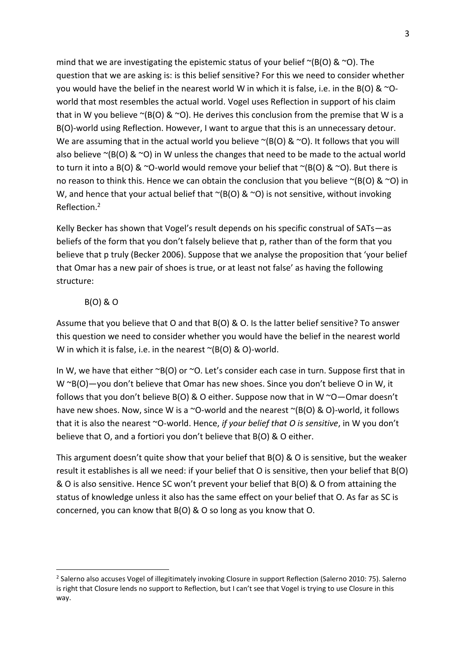mind that we are investigating the epistemic status of your belief  $\sim$ (B(O) &  $\sim$ O). The question that we are asking is: is this belief sensitive? For this we need to consider whether you would have the belief in the nearest world W in which it is false, i.e. in the B(O) &  $\infty$ -Oworld that most resembles the actual world. Vogel uses Reflection in support of his claim that in W you believe  $\sim$ (B(O) &  $\sim$ O). He derives this conclusion from the premise that W is a B(O)-world using Reflection. However, I want to argue that this is an unnecessary detour. We are assuming that in the actual world you believe  $\sim$  (B(O) &  $\sim$  O). It follows that you will also believe  $\sim$ (B(O) &  $\sim$ O) in W unless the changes that need to be made to the actual world to turn it into a B(O) &  $\sim$ O-world would remove your belief that  $\sim$ (B(O) &  $\sim$ O). But there is no reason to think this. Hence we can obtain the conclusion that you believe  $\sim$ (B(O) &  $\sim$ O) in W, and hence that your actual belief that  $\sim$ (B(O) &  $\sim$ O) is not sensitive, without invoking Reflection.<sup>2</sup>

Kelly Becker has shown that Vogel's result depends on his specific construal of SATs—as beliefs of the form that you don't falsely believe that p, rather than of the form that you believe that p truly [\(Becker 2006\)](#page-17-5). Suppose that we analyse the proposition that 'your belief that Omar has a new pair of shoes is true, or at least not false' as having the following structure:

## B(O) & O

1

Assume that you believe that O and that B(O) & O. Is the latter belief sensitive? To answer this question we need to consider whether you would have the belief in the nearest world W in which it is false, i.e. in the nearest  $\sim$ (B(O) & O)-world.

In W, we have that either  $\sim$ B(O) or  $\sim$ O. Let's consider each case in turn. Suppose first that in W ~B(O)—you don't believe that Omar has new shoes. Since you don't believe O in W, it follows that you don't believe  $B(0)$  & O either. Suppose now that in W  $\sim$ O $-$ Omar doesn't have new shoes. Now, since W is a ~O-world and the nearest ~(B(O) & O)-world, it follows that it is also the nearest ~O-world. Hence, *if your belief that O is sensitive*, in W you don't believe that O, and a fortiori you don't believe that B(O) & O either.

This argument doesn't quite show that your belief that B(O) & O is sensitive, but the weaker result it establishes is all we need: if your belief that O is sensitive, then your belief that B(O) & O is also sensitive. Hence SC won't prevent your belief that B(O) & O from attaining the status of knowledge unless it also has the same effect on your belief that O. As far as SC is concerned, you can know that B(O) & O so long as you know that O.

<sup>&</sup>lt;sup>2</sup> Salerno also accuses Vogel of illegitimately invoking Closure in support Reflection [\(Salerno 2010: 75\)](#page-17-4). Salerno is right that Closure lends no support to Reflection, but I can't see that Vogel is trying to use Closure in this way.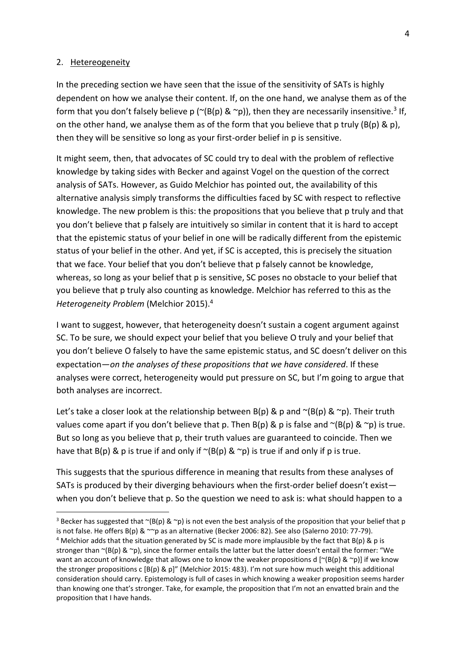#### 2. Hetereogeneity

-

In the preceding section we have seen that the issue of the sensitivity of SATs is highly dependent on how we analyse their content. If, on the one hand, we analyse them as of the form that you don't falsely believe p ( $\sim$ (B(p) &  $\sim$ p)), then they are necessarily insensitive.<sup>3</sup> If, on the other hand, we analyse them as of the form that you believe that p truly (B(p) & p), then they will be sensitive so long as your first-order belief in p is sensitive.

It might seem, then, that advocates of SC could try to deal with the problem of reflective knowledge by taking sides with Becker and against Vogel on the question of the correct analysis of SATs. However, as Guido Melchior has pointed out, the availability of this alternative analysis simply transforms the difficulties faced by SC with respect to reflective knowledge. The new problem is this: the propositions that you believe that p truly and that you don't believe that p falsely are intuitively so similar in content that it is hard to accept that the epistemic status of your belief in one will be radically different from the epistemic status of your belief in the other. And yet, if SC is accepted, this is precisely the situation that we face. Your belief that you don't believe that p falsely cannot be knowledge, whereas, so long as your belief that p is sensitive, SC poses no obstacle to your belief that you believe that p truly also counting as knowledge. Melchior has referred to this as the *Heterogeneity Problem* [\(Melchior 2015\)](#page-17-6). 4

I want to suggest, however, that heterogeneity doesn't sustain a cogent argument against SC. To be sure, we should expect your belief that you believe O truly and your belief that you don't believe O falsely to have the same epistemic status, and SC doesn't deliver on this expectation—*on the analyses of these propositions that we have considered*. If these analyses were correct, heterogeneity would put pressure on SC, but I'm going to argue that both analyses are incorrect.

Let's take a closer look at the relationship between B(p) & p and  $\sim$ (B(p) &  $\sim$ p). Their truth values come apart if you don't believe that p. Then  $B(p)$  & p is false and  $\sim(B(p)$  &  $\sim p)$  is true. But so long as you believe that p, their truth values are guaranteed to coincide. Then we have that B(p) & p is true if and only if  $\sim$ (B(p) &  $\sim$  p) is true if and only if p is true.

This suggests that the spurious difference in meaning that results from these analyses of SATs is produced by their diverging behaviours when the first-order belief doesn't exist when you don't believe that p. So the question we need to ask is: what should happen to a

<sup>&</sup>lt;sup>3</sup> Becker has suggested that  $\sim$ (B(p) &  $\sim$ p) is not even the best analysis of the proposition that your belief that p is not false. He offers  $B(p) \& \sim p$  as an alternative [\(Becker 2006: 82\)](#page-17-5). See also [\(Salerno 2010: 77-79\)](#page-17-4). <sup>4</sup> Melchior adds that the situation generated by SC is made more implausible by the fact that B(p) & p is stronger than  $\sim$ (B(p) &  $\sim$ p), since the former entails the latter but the latter doesn't entail the former: "We want an account of knowledge that allows one to know the weaker propositions d  $[\sim(B(p) \& \sim p)]$  if we know the stronger propositions c [B(p) & p]" [\(Melchior 2015: 483\)](#page-17-6). I'm not sure how much weight this additional consideration should carry. Epistemology is full of cases in which knowing a weaker proposition seems harder than knowing one that's stronger. Take, for example, the proposition that I'm not an envatted brain and the proposition that I have hands.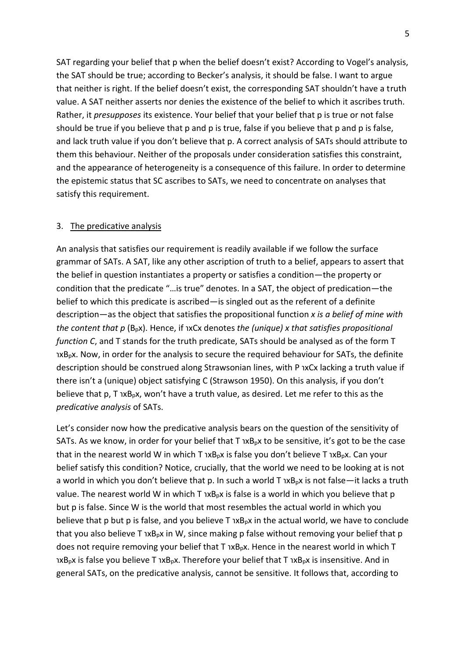SAT regarding your belief that p when the belief doesn't exist? According to Vogel's analysis, the SAT should be true; according to Becker's analysis, it should be false. I want to argue that neither is right. If the belief doesn't exist, the corresponding SAT shouldn't have a truth value. A SAT neither asserts nor denies the existence of the belief to which it ascribes truth. Rather, it *presupposes* its existence. Your belief that your belief that p is true or not false should be true if you believe that p and p is true, false if you believe that p and p is false, and lack truth value if you don't believe that p. A correct analysis of SATs should attribute to them this behaviour. Neither of the proposals under consideration satisfies this constraint, and the appearance of heterogeneity is a consequence of this failure. In order to determine the epistemic status that SC ascribes to SATs, we need to concentrate on analyses that satisfy this requirement.

#### 3. The predicative analysis

An analysis that satisfies our requirement is readily available if we follow the surface grammar of SATs. A SAT, like any other ascription of truth to a belief, appears to assert that the belief in question instantiates a property or satisfies a condition—the property or condition that the predicate "…is true" denotes. In a SAT, the object of predication—the belief to which this predicate is ascribed—is singled out as the referent of a definite description—as the object that satisfies the propositional function *x is a belief of mine with the content that p* (B<sub>p</sub>x). Hence, if  $xCx$  denotes *the (unique) x that satisfies propositional function C*, and T stands for the truth predicate, SATs should be analysed as of the form T  $1xB<sub>p</sub>x$ . Now, in order for the analysis to secure the required behaviour for SATs, the definite description should be construed along Strawsonian lines, with P 1xCx lacking a truth value if there isn't a (unique) object satisfying C [\(Strawson 1950\)](#page-17-7). On this analysis, if you don't believe that p, T  $xB_px$ , won't have a truth value, as desired. Let me refer to this as the *predicative analysis* of SATs.

Let's consider now how the predicative analysis bears on the question of the sensitivity of SATs. As we know, in order for your belief that  $T_1 \times B_0 \times$  to be sensitive, it's got to be the case that in the nearest world W in which T  $xB<sub>o</sub>x$  is false you don't believe T  $xB<sub>o</sub>x$ . Can your belief satisfy this condition? Notice, crucially, that the world we need to be looking at is not a world in which you don't believe that p. In such a world  $T$   $xB<sub>p</sub>x$  is not false—it lacks a truth value. The nearest world W in which T  $xB<sub>p</sub>x$  is false is a world in which you believe that p but p is false. Since W is the world that most resembles the actual world in which you believe that p but p is false, and you believe  $T_1 \times B_0 \times T_1$  the actual world, we have to conclude that you also believe T  $xB_px$  in W, since making p false without removing your belief that p does not require removing your belief that  $T$  1xB<sub>p</sub>x. Hence in the nearest world in which  $T$  $xB_px$  is false you believe T  $xB_px$ . Therefore your belief that T  $xB_px$  is insensitive. And in general SATs, on the predicative analysis, cannot be sensitive. It follows that, according to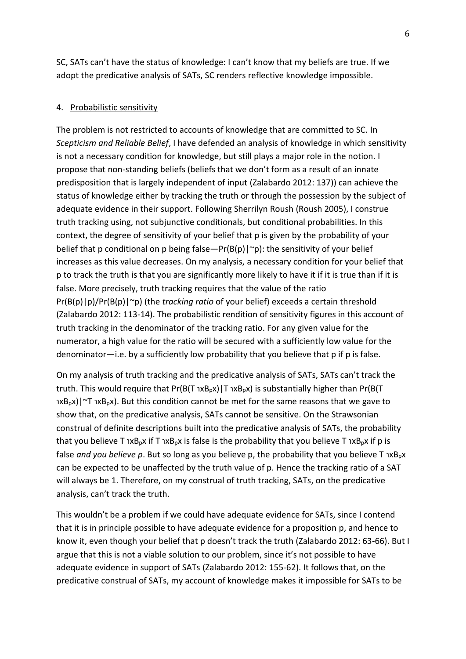SC, SATs can't have the status of knowledge: I can't know that my beliefs are true. If we adopt the predicative analysis of SATs, SC renders reflective knowledge impossible.

#### 4. Probabilistic sensitivity

The problem is not restricted to accounts of knowledge that are committed to SC. In *Scepticism and Reliable Belief*, I have defended an analysis of knowledge in which sensitivity is not a necessary condition for knowledge, but still plays a major role in the notion. I propose that non-standing beliefs (beliefs that we don't form as a result of an innate predisposition that is largely independent of input [\(Zalabardo 2012: 137\)](#page-17-8)) can achieve the status of knowledge either by tracking the truth or through the possession by the subject of adequate evidence in their support. Following Sherrilyn Roush [\(Roush 2005\)](#page-17-9), I construe truth tracking using, not subjunctive conditionals, but conditional probabilities. In this context, the degree of sensitivity of your belief that p is given by the probability of your belief that p conditional on p being false—Pr(B(p)| $\sim$ p): the sensitivity of your belief increases as this value decreases. On my analysis, a necessary condition for your belief that p to track the truth is that you are significantly more likely to have it if it is true than if it is false. More precisely, truth tracking requires that the value of the ratio Pr(B(p)|p)/Pr(B(p)|~p) (the *tracking ratio* of your belief) exceeds a certain threshold [\(Zalabardo 2012: 113-14\)](#page-17-8). The probabilistic rendition of sensitivity figures in this account of truth tracking in the denominator of the tracking ratio. For any given value for the numerator, a high value for the ratio will be secured with a sufficiently low value for the denominator—i.e. by a sufficiently low probability that you believe that p if p is false.

On my analysis of truth tracking and the predicative analysis of SATs, SATs can't track the truth. This would require that  $Pr(B(T \nvert X B<sub>p</sub>x) | T \nvert X B<sub>p</sub>x)$  is substantially higher than Pr(B(T)  $xB_px$ )|~T  $xB_px$ ). But this condition cannot be met for the same reasons that we gave to show that, on the predicative analysis, SATs cannot be sensitive. On the Strawsonian construal of definite descriptions built into the predicative analysis of SATs, the probability that you believe T  $xB_px$  if T  $xB_px$  is false is the probability that you believe T  $xB_px$  if p is false *and you believe p*. But so long as you believe p, the probability that you believe T  $xB<sub>p</sub>x$ can be expected to be unaffected by the truth value of p. Hence the tracking ratio of a SAT will always be 1. Therefore, on my construal of truth tracking, SATs, on the predicative analysis, can't track the truth.

This wouldn't be a problem if we could have adequate evidence for SATs, since I contend that it is in principle possible to have adequate evidence for a proposition p, and hence to know it, even though your belief that p doesn't track the truth [\(Zalabardo 2012: 63-66\)](#page-17-8). But I argue that this is not a viable solution to our problem, since it's not possible to have adequate evidence in support of SATs [\(Zalabardo 2012: 155-62\)](#page-17-8). It follows that, on the predicative construal of SATs, my account of knowledge makes it impossible for SATs to be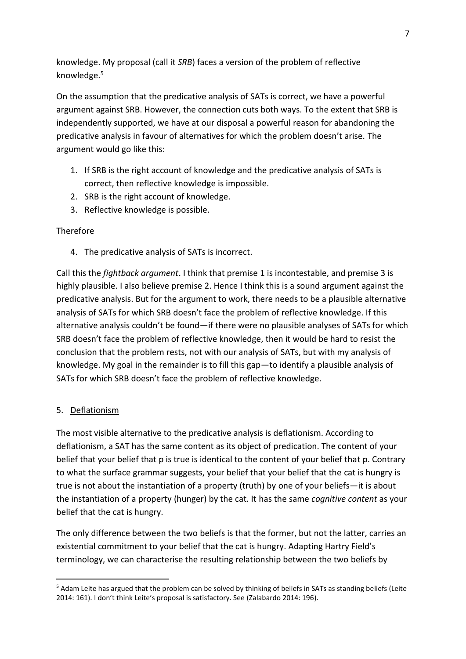knowledge. My proposal (call it *SRB*) faces a version of the problem of reflective knowledge. 5

On the assumption that the predicative analysis of SATs is correct, we have a powerful argument against SRB. However, the connection cuts both ways. To the extent that SRB is independently supported, we have at our disposal a powerful reason for abandoning the predicative analysis in favour of alternatives for which the problem doesn't arise. The argument would go like this:

- 1. If SRB is the right account of knowledge and the predicative analysis of SATs is correct, then reflective knowledge is impossible.
- 2. SRB is the right account of knowledge.
- 3. Reflective knowledge is possible.

# **Therefore**

4. The predicative analysis of SATs is incorrect.

Call this the *fightback argument*. I think that premise 1 is incontestable, and premise 3 is highly plausible. I also believe premise 2. Hence I think this is a sound argument against the predicative analysis. But for the argument to work, there needs to be a plausible alternative analysis of SATs for which SRB doesn't face the problem of reflective knowledge. If this alternative analysis couldn't be found—if there were no plausible analyses of SATs for which SRB doesn't face the problem of reflective knowledge, then it would be hard to resist the conclusion that the problem rests, not with our analysis of SATs, but with my analysis of knowledge. My goal in the remainder is to fill this gap—to identify a plausible analysis of SATs for which SRB doesn't face the problem of reflective knowledge.

## 5. Deflationism

-

The most visible alternative to the predicative analysis is deflationism. According to deflationism, a SAT has the same content as its object of predication. The content of your belief that your belief that p is true is identical to the content of your belief that p. Contrary to what the surface grammar suggests, your belief that your belief that the cat is hungry is true is not about the instantiation of a property (truth) by one of your beliefs—it is about the instantiation of a property (hunger) by the cat. It has the same *cognitive content* as your belief that the cat is hungry.

The only difference between the two beliefs is that the former, but not the latter, carries an existential commitment to your belief that the cat is hungry. Adapting Hartry Field's terminology, we can characterise the resulting relationship between the two beliefs by

<sup>&</sup>lt;sup>5</sup> Adam Leite has argued that the problem can be solved by thinking of beliefs in SATs as standing beliefs (Leite [2014: 161\)](#page-17-10). I don't think Leite's proposal is satisfactory. See [\(Zalabardo 2014: 196\)](#page-17-11).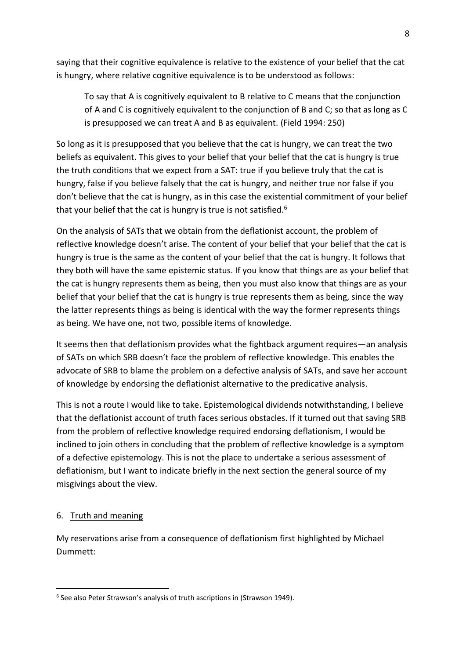saying that their cognitive equivalence is relative to the existence of your belief that the cat is hungry, where relative cognitive equivalence is to be understood as follows:

To say that A is cognitively equivalent to B relative to C means that the conjunction of A and C is cognitively equivalent to the conjunction of B and C; so that as long as C is presupposed we can treat A and B as equivalent. [\(Field 1994: 250\)](#page-17-12)

So long as it is presupposed that you believe that the cat is hungry, we can treat the two beliefs as equivalent. This gives to your belief that your belief that the cat is hungry is true the truth conditions that we expect from a SAT: true if you believe truly that the cat is hungry, false if you believe falsely that the cat is hungry, and neither true nor false if you don't believe that the cat is hungry, as in this case the existential commitment of your belief that your belief that the cat is hungry is true is not satisfied.<sup>6</sup>

On the analysis of SATs that we obtain from the deflationist account, the problem of reflective knowledge doesn't arise. The content of your belief that your belief that the cat is hungry is true is the same as the content of your belief that the cat is hungry. It follows that they both will have the same epistemic status. If you know that things are as your belief that the cat is hungry represents them as being, then you must also know that things are as your belief that your belief that the cat is hungry is true represents them as being, since the way the latter represents things as being is identical with the way the former represents things as being. We have one, not two, possible items of knowledge.

It seems then that deflationism provides what the fightback argument requires—an analysis of SATs on which SRB doesn't face the problem of reflective knowledge. This enables the advocate of SRB to blame the problem on a defective analysis of SATs, and save her account of knowledge by endorsing the deflationist alternative to the predicative analysis.

This is not a route I would like to take. Epistemological dividends notwithstanding, I believe that the deflationist account of truth faces serious obstacles. If it turned out that saving SRB from the problem of reflective knowledge required endorsing deflationism, I would be inclined to join others in concluding that the problem of reflective knowledge is a symptom of a defective epistemology. This is not the place to undertake a serious assessment of deflationism, but I want to indicate briefly in the next section the general source of my misgivings about the view.

## 6. Truth and meaning

1

My reservations arise from a consequence of deflationism first highlighted by Michael Dummett:

<sup>6</sup> See also Peter Strawson's analysis of truth ascriptions in [\(Strawson 1949\)](#page-17-13).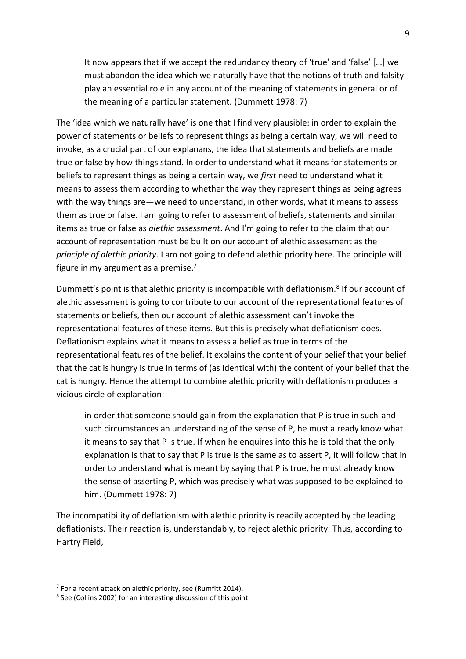It now appears that if we accept the redundancy theory of 'true' and 'false' […] we must abandon the idea which we naturally have that the notions of truth and falsity play an essential role in any account of the meaning of statements in general or of the meaning of a particular statement. [\(Dummett 1978: 7\)](#page-17-14)

The 'idea which we naturally have' is one that I find very plausible: in order to explain the power of statements or beliefs to represent things as being a certain way, we will need to invoke, as a crucial part of our explanans, the idea that statements and beliefs are made true or false by how things stand. In order to understand what it means for statements or beliefs to represent things as being a certain way, we *first* need to understand what it means to assess them according to whether the way they represent things as being agrees with the way things are—we need to understand, in other words, what it means to assess them as true or false. I am going to refer to assessment of beliefs, statements and similar items as true or false as *alethic assessment*. And I'm going to refer to the claim that our account of representation must be built on our account of alethic assessment as the *principle of alethic priority*. I am not going to defend alethic priority here. The principle will figure in my argument as a premise. $7$ 

Dummett's point is that alethic priority is incompatible with deflationism.<sup>8</sup> If our account of alethic assessment is going to contribute to our account of the representational features of statements or beliefs, then our account of alethic assessment can't invoke the representational features of these items. But this is precisely what deflationism does. Deflationism explains what it means to assess a belief as true in terms of the representational features of the belief. It explains the content of your belief that your belief that the cat is hungry is true in terms of (as identical with) the content of your belief that the cat is hungry. Hence the attempt to combine alethic priority with deflationism produces a vicious circle of explanation:

in order that someone should gain from the explanation that P is true in such-andsuch circumstances an understanding of the sense of P, he must already know what it means to say that P is true. If when he enquires into this he is told that the only explanation is that to say that P is true is the same as to assert P, it will follow that in order to understand what is meant by saying that P is true, he must already know the sense of asserting P, which was precisely what was supposed to be explained to him. [\(Dummett 1978: 7\)](#page-17-14)

The incompatibility of deflationism with alethic priority is readily accepted by the leading deflationists. Their reaction is, understandably, to reject alethic priority. Thus, according to Hartry Field,

<sup>&</sup>lt;sup>7</sup> For a recent attack on alethic priority, see [\(Rumfitt 2014\)](#page-17-15).

<sup>&</sup>lt;sup>8</sup> See [\(Collins 2002\)](#page-17-16) for an interesting discussion of this point.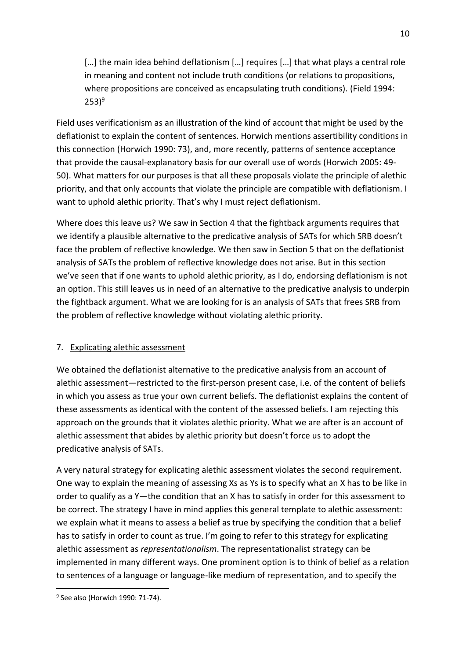[...] the main idea behind deflationism [...] requires [...] that what plays a central role in meaning and content not include truth conditions (or relations to propositions, where propositions are conceived as encapsulating truth conditions). [\(Field 1994:](#page-17-12)  [253\)](#page-17-12) 9

Field uses verificationism as an illustration of the kind of account that might be used by the deflationist to explain the content of sentences. Horwich mentions assertibility conditions in this connection [\(Horwich 1990: 73\)](#page-17-17), and, more recently, patterns of sentence acceptance that provide the causal-explanatory basis for our overall use of words [\(Horwich 2005: 49-](#page-17-18) [50\)](#page-17-18). What matters for our purposes is that all these proposals violate the principle of alethic priority, and that only accounts that violate the principle are compatible with deflationism. I want to uphold alethic priority. That's why I must reject deflationism.

Where does this leave us? We saw in Section 4 that the fightback arguments requires that we identify a plausible alternative to the predicative analysis of SATs for which SRB doesn't face the problem of reflective knowledge. We then saw in Section 5 that on the deflationist analysis of SATs the problem of reflective knowledge does not arise. But in this section we've seen that if one wants to uphold alethic priority, as I do, endorsing deflationism is not an option. This still leaves us in need of an alternative to the predicative analysis to underpin the fightback argument. What we are looking for is an analysis of SATs that frees SRB from the problem of reflective knowledge without violating alethic priority.

# 7. Explicating alethic assessment

We obtained the deflationist alternative to the predicative analysis from an account of alethic assessment—restricted to the first-person present case, i.e. of the content of beliefs in which you assess as true your own current beliefs. The deflationist explains the content of these assessments as identical with the content of the assessed beliefs. I am rejecting this approach on the grounds that it violates alethic priority. What we are after is an account of alethic assessment that abides by alethic priority but doesn't force us to adopt the predicative analysis of SATs.

A very natural strategy for explicating alethic assessment violates the second requirement. One way to explain the meaning of assessing Xs as Ys is to specify what an X has to be like in order to qualify as a Y—the condition that an X has to satisfy in order for this assessment to be correct. The strategy I have in mind applies this general template to alethic assessment: we explain what it means to assess a belief as true by specifying the condition that a belief has to satisfy in order to count as true. I'm going to refer to this strategy for explicating alethic assessment as *representationalism*. The representationalist strategy can be implemented in many different ways. One prominent option is to think of belief as a relation to sentences of a language or language-like medium of representation, and to specify the

1

<sup>&</sup>lt;sup>9</sup> See also [\(Horwich 1990: 71-74\)](#page-17-17).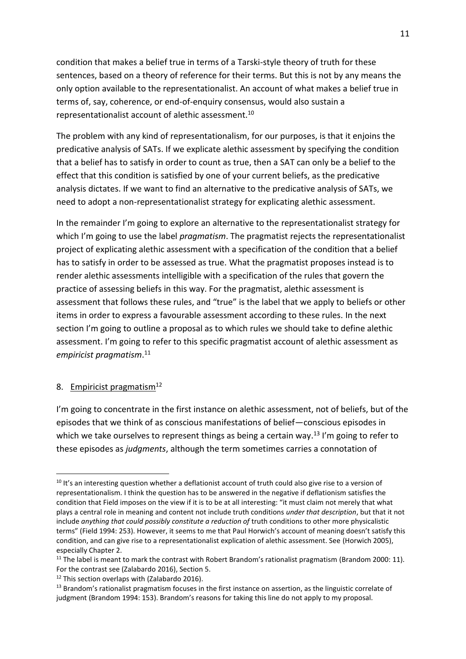condition that makes a belief true in terms of a Tarski-style theory of truth for these sentences, based on a theory of reference for their terms. But this is not by any means the only option available to the representationalist. An account of what makes a belief true in terms of, say, coherence, or end-of-enquiry consensus, would also sustain a representationalist account of alethic assessment.<sup>10</sup>

The problem with any kind of representationalism, for our purposes, is that it enjoins the predicative analysis of SATs. If we explicate alethic assessment by specifying the condition that a belief has to satisfy in order to count as true, then a SAT can only be a belief to the effect that this condition is satisfied by one of your current beliefs, as the predicative analysis dictates. If we want to find an alternative to the predicative analysis of SATs, we need to adopt a non-representationalist strategy for explicating alethic assessment.

In the remainder I'm going to explore an alternative to the representationalist strategy for which I'm going to use the label *pragmatism*. The pragmatist rejects the representationalist project of explicating alethic assessment with a specification of the condition that a belief has to satisfy in order to be assessed as true. What the pragmatist proposes instead is to render alethic assessments intelligible with a specification of the rules that govern the practice of assessing beliefs in this way. For the pragmatist, alethic assessment is assessment that follows these rules, and "true" is the label that we apply to beliefs or other items in order to express a favourable assessment according to these rules. In the next section I'm going to outline a proposal as to which rules we should take to define alethic assessment. I'm going to refer to this specific pragmatist account of alethic assessment as *empiricist pragmatism*. 11

## 8. Empiricist pragmatism<sup>12</sup>

.

I'm going to concentrate in the first instance on alethic assessment, not of beliefs, but of the episodes that we think of as conscious manifestations of belief—conscious episodes in which we take ourselves to represent things as being a certain way.<sup>13</sup> I'm going to refer to these episodes as *judgments*, although the term sometimes carries a connotation of

<sup>&</sup>lt;sup>10</sup> It's an interesting question whether a deflationist account of truth could also give rise to a version of representationalism. I think the question has to be answered in the negative if deflationism satisfies the condition that Field imposes on the view if it is to be at all interesting: "it must claim not merely that what plays a central role in meaning and content not include truth conditions *under that description*, but that it not include *anything that could possibly constitute a reduction of* truth conditions to other more physicalistic terms" [\(Field 1994: 253\)](#page-17-12). However, it seems to me that Paul Horwich's account of meaning doesn't satisfy this condition, and can give rise to a representationalist explication of alethic assessment. See [\(Horwich 2005\)](#page-17-18), especially Chapter 2.

 $11$  The label is meant to mark the contrast with Robert Brandom's rationalist pragmatism [\(Brandom 2000: 11\)](#page-17-19). For the contrast see [\(Zalabardo 2016\)](#page-17-20), Section 5.

<sup>&</sup>lt;sup>12</sup> This section overlaps with [\(Zalabardo 2016\)](#page-17-20).

<sup>&</sup>lt;sup>13</sup> Brandom's rationalist pragmatism focuses in the first instance on assertion, as the linguistic correlate of judgment [\(Brandom 1994: 153\)](#page-17-21). Brandom's reasons for taking this line do not apply to my proposal.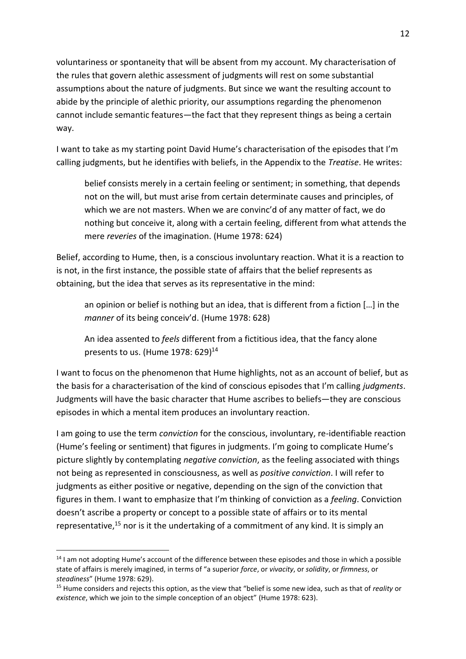voluntariness or spontaneity that will be absent from my account. My characterisation of the rules that govern alethic assessment of judgments will rest on some substantial assumptions about the nature of judgments. But since we want the resulting account to abide by the principle of alethic priority, our assumptions regarding the phenomenon cannot include semantic features—the fact that they represent things as being a certain way.

I want to take as my starting point David Hume's characterisation of the episodes that I'm calling judgments, but he identifies with beliefs, in the Appendix to the *Treatise*. He writes:

belief consists merely in a certain feeling or sentiment; in something, that depends not on the will, but must arise from certain determinate causes and principles, of which we are not masters. When we are convinc'd of any matter of fact, we do nothing but conceive it, along with a certain feeling, different from what attends the mere *reveries* of the imagination. [\(Hume 1978: 624\)](#page-17-22)

Belief, according to Hume, then, is a conscious involuntary reaction. What it is a reaction to is not, in the first instance, the possible state of affairs that the belief represents as obtaining, but the idea that serves as its representative in the mind:

an opinion or belief is nothing but an idea, that is different from a fiction […] in the *manner* of its being conceiv'd. [\(Hume 1978: 628\)](#page-17-22)

An idea assented to *feels* different from a fictitious idea, that the fancy alone presents to us. [\(Hume 1978: 629\)](#page-17-22) 14

I want to focus on the phenomenon that Hume highlights, not as an account of belief, but as the basis for a characterisation of the kind of conscious episodes that I'm calling *judgments*. Judgments will have the basic character that Hume ascribes to beliefs—they are conscious episodes in which a mental item produces an involuntary reaction.

I am going to use the term *conviction* for the conscious, involuntary, re-identifiable reaction (Hume's feeling or sentiment) that figures in judgments. I'm going to complicate Hume's picture slightly by contemplating *negative conviction*, as the feeling associated with things not being as represented in consciousness, as well as *positive conviction*. I will refer to judgments as either positive or negative, depending on the sign of the conviction that figures in them. I want to emphasize that I'm thinking of conviction as a *feeling*. Conviction doesn't ascribe a property or concept to a possible state of affairs or to its mental representative, $15$  nor is it the undertaking of a commitment of any kind. It is simply an

 $14$  I am not adopting Hume's account of the difference between these episodes and those in which a possible state of affairs is merely imagined, in terms of "a superior *force*, or *vivacity*, or *solidity*, or *firmness*, or *steadiness*" [\(Hume 1978: 629\)](#page-17-22).

<sup>15</sup> Hume considers and rejects this option, as the view that "belief is some new idea, such as that of *reality* or *existence*, which we join to the simple conception of an object" [\(Hume 1978: 623\)](#page-17-22).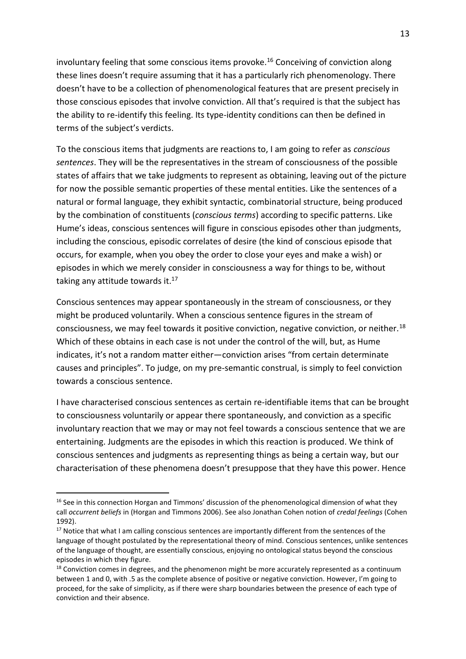involuntary feeling that some conscious items provoke.<sup>16</sup> Conceiving of conviction along these lines doesn't require assuming that it has a particularly rich phenomenology. There doesn't have to be a collection of phenomenological features that are present precisely in those conscious episodes that involve conviction. All that's required is that the subject has the ability to re-identify this feeling. Its type-identity conditions can then be defined in terms of the subject's verdicts.

To the conscious items that judgments are reactions to, I am going to refer as *conscious sentences*. They will be the representatives in the stream of consciousness of the possible states of affairs that we take judgments to represent as obtaining, leaving out of the picture for now the possible semantic properties of these mental entities. Like the sentences of a natural or formal language, they exhibit syntactic, combinatorial structure, being produced by the combination of constituents (*conscious terms*) according to specific patterns. Like Hume's ideas, conscious sentences will figure in conscious episodes other than judgments, including the conscious, episodic correlates of desire (the kind of conscious episode that occurs, for example, when you obey the order to close your eyes and make a wish) or episodes in which we merely consider in consciousness a way for things to be, without taking any attitude towards it.<sup>17</sup>

Conscious sentences may appear spontaneously in the stream of consciousness, or they might be produced voluntarily. When a conscious sentence figures in the stream of consciousness, we may feel towards it positive conviction, negative conviction, or neither.<sup>18</sup> Which of these obtains in each case is not under the control of the will, but, as Hume indicates, it's not a random matter either—conviction arises "from certain determinate causes and principles". To judge, on my pre-semantic construal, is simply to feel conviction towards a conscious sentence.

I have characterised conscious sentences as certain re-identifiable items that can be brought to consciousness voluntarily or appear there spontaneously, and conviction as a specific involuntary reaction that we may or may not feel towards a conscious sentence that we are entertaining. Judgments are the episodes in which this reaction is produced. We think of conscious sentences and judgments as representing things as being a certain way, but our characterisation of these phenomena doesn't presuppose that they have this power. Hence

<sup>&</sup>lt;sup>16</sup> See in this connection Horgan and Timmons' discussion of the phenomenological dimension of what they call *occurrent beliefs* in [\(Horgan and Timmons 2006\)](#page-17-23). See also Jonathan Cohen notion of *credal feelings* [\(Cohen](#page-17-24)  [1992\)](#page-17-24).

<sup>&</sup>lt;sup>17</sup> Notice that what I am calling conscious sentences are importantly different from the sentences of the language of thought postulated by the representational theory of mind. Conscious sentences, unlike sentences of the language of thought, are essentially conscious, enjoying no ontological status beyond the conscious episodes in which they figure.

<sup>&</sup>lt;sup>18</sup> Conviction comes in degrees, and the phenomenon might be more accurately represented as a continuum between 1 and 0, with .5 as the complete absence of positive or negative conviction. However, I'm going to proceed, for the sake of simplicity, as if there were sharp boundaries between the presence of each type of conviction and their absence.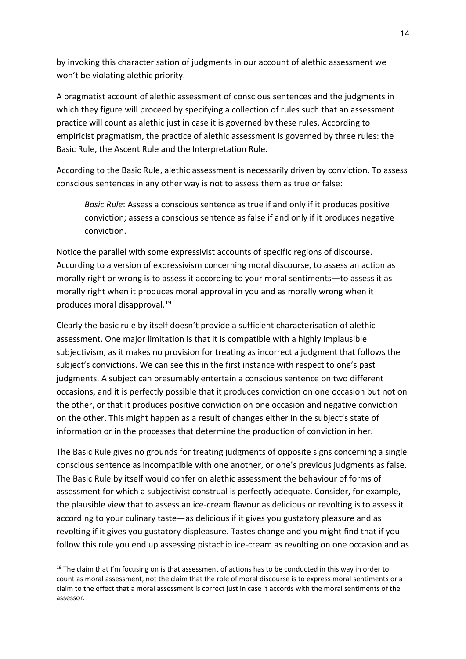by invoking this characterisation of judgments in our account of alethic assessment we won't be violating alethic priority.

A pragmatist account of alethic assessment of conscious sentences and the judgments in which they figure will proceed by specifying a collection of rules such that an assessment practice will count as alethic just in case it is governed by these rules. According to empiricist pragmatism, the practice of alethic assessment is governed by three rules: the Basic Rule, the Ascent Rule and the Interpretation Rule.

According to the Basic Rule, alethic assessment is necessarily driven by conviction. To assess conscious sentences in any other way is not to assess them as true or false:

*Basic Rule*: Assess a conscious sentence as true if and only if it produces positive conviction; assess a conscious sentence as false if and only if it produces negative conviction.

Notice the parallel with some expressivist accounts of specific regions of discourse. According to a version of expressivism concerning moral discourse, to assess an action as morally right or wrong is to assess it according to your moral sentiments—to assess it as morally right when it produces moral approval in you and as morally wrong when it produces moral disapproval.<sup>19</sup>

Clearly the basic rule by itself doesn't provide a sufficient characterisation of alethic assessment. One major limitation is that it is compatible with a highly implausible subjectivism, as it makes no provision for treating as incorrect a judgment that follows the subject's convictions. We can see this in the first instance with respect to one's past judgments. A subject can presumably entertain a conscious sentence on two different occasions, and it is perfectly possible that it produces conviction on one occasion but not on the other, or that it produces positive conviction on one occasion and negative conviction on the other. This might happen as a result of changes either in the subject's state of information or in the processes that determine the production of conviction in her.

The Basic Rule gives no grounds for treating judgments of opposite signs concerning a single conscious sentence as incompatible with one another, or one's previous judgments as false. The Basic Rule by itself would confer on alethic assessment the behaviour of forms of assessment for which a subjectivist construal is perfectly adequate. Consider, for example, the plausible view that to assess an ice-cream flavour as delicious or revolting is to assess it according to your culinary taste—as delicious if it gives you gustatory pleasure and as revolting if it gives you gustatory displeasure. Tastes change and you might find that if you follow this rule you end up assessing pistachio ice-cream as revolting on one occasion and as

 $19$  The claim that I'm focusing on is that assessment of actions has to be conducted in this way in order to count as moral assessment, not the claim that the role of moral discourse is to express moral sentiments or a claim to the effect that a moral assessment is correct just in case it accords with the moral sentiments of the assessor.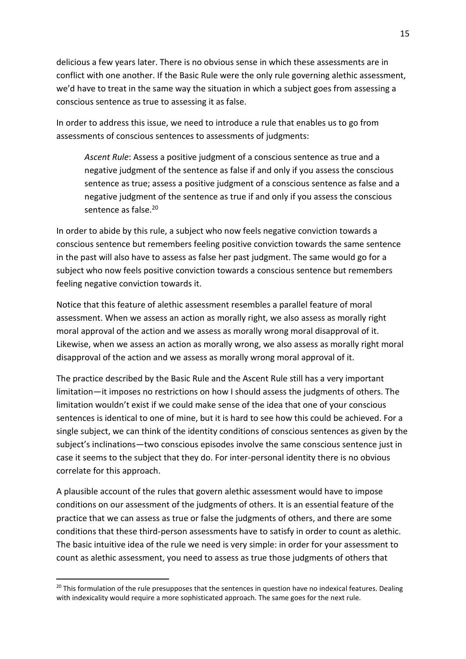delicious a few years later. There is no obvious sense in which these assessments are in conflict with one another. If the Basic Rule were the only rule governing alethic assessment, we'd have to treat in the same way the situation in which a subject goes from assessing a conscious sentence as true to assessing it as false.

In order to address this issue, we need to introduce a rule that enables us to go from assessments of conscious sentences to assessments of judgments:

*Ascent Rule*: Assess a positive judgment of a conscious sentence as true and a negative judgment of the sentence as false if and only if you assess the conscious sentence as true; assess a positive judgment of a conscious sentence as false and a negative judgment of the sentence as true if and only if you assess the conscious sentence as false.<sup>20</sup>

In order to abide by this rule, a subject who now feels negative conviction towards a conscious sentence but remembers feeling positive conviction towards the same sentence in the past will also have to assess as false her past judgment. The same would go for a subject who now feels positive conviction towards a conscious sentence but remembers feeling negative conviction towards it.

Notice that this feature of alethic assessment resembles a parallel feature of moral assessment. When we assess an action as morally right, we also assess as morally right moral approval of the action and we assess as morally wrong moral disapproval of it. Likewise, when we assess an action as morally wrong, we also assess as morally right moral disapproval of the action and we assess as morally wrong moral approval of it.

The practice described by the Basic Rule and the Ascent Rule still has a very important limitation—it imposes no restrictions on how I should assess the judgments of others. The limitation wouldn't exist if we could make sense of the idea that one of your conscious sentences is identical to one of mine, but it is hard to see how this could be achieved. For a single subject, we can think of the identity conditions of conscious sentences as given by the subject's inclinations—two conscious episodes involve the same conscious sentence just in case it seems to the subject that they do. For inter-personal identity there is no obvious correlate for this approach.

A plausible account of the rules that govern alethic assessment would have to impose conditions on our assessment of the judgments of others. It is an essential feature of the practice that we can assess as true or false the judgments of others, and there are some conditions that these third-person assessments have to satisfy in order to count as alethic. The basic intuitive idea of the rule we need is very simple: in order for your assessment to count as alethic assessment, you need to assess as true those judgments of others that

<sup>&</sup>lt;sup>20</sup> This formulation of the rule presupposes that the sentences in question have no indexical features. Dealing with indexicality would require a more sophisticated approach. The same goes for the next rule.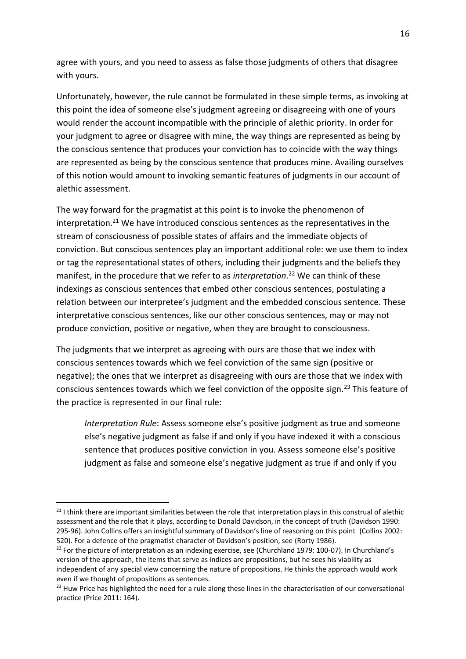agree with yours, and you need to assess as false those judgments of others that disagree with yours.

Unfortunately, however, the rule cannot be formulated in these simple terms, as invoking at this point the idea of someone else's judgment agreeing or disagreeing with one of yours would render the account incompatible with the principle of alethic priority. In order for your judgment to agree or disagree with mine, the way things are represented as being by the conscious sentence that produces your conviction has to coincide with the way things are represented as being by the conscious sentence that produces mine. Availing ourselves of this notion would amount to invoking semantic features of judgments in our account of alethic assessment.

The way forward for the pragmatist at this point is to invoke the phenomenon of interpretation.<sup>21</sup> We have introduced conscious sentences as the representatives in the stream of consciousness of possible states of affairs and the immediate objects of conviction. But conscious sentences play an important additional role: we use them to index or tag the representational states of others, including their judgments and the beliefs they manifest, in the procedure that we refer to as *interpretation*. <sup>22</sup> We can think of these indexings as conscious sentences that embed other conscious sentences, postulating a relation between our interpretee's judgment and the embedded conscious sentence. These interpretative conscious sentences, like our other conscious sentences, may or may not produce conviction, positive or negative, when they are brought to consciousness.

The judgments that we interpret as agreeing with ours are those that we index with conscious sentences towards which we feel conviction of the same sign (positive or negative); the ones that we interpret as disagreeing with ours are those that we index with conscious sentences towards which we feel conviction of the opposite sign.<sup>23</sup> This feature of the practice is represented in our final rule:

*Interpretation Rule*: Assess someone else's positive judgment as true and someone else's negative judgment as false if and only if you have indexed it with a conscious sentence that produces positive conviction in you. Assess someone else's positive judgment as false and someone else's negative judgment as true if and only if you

1

 $21$  I think there are important similarities between the role that interpretation plays in this construal of alethic assessment and the role that it plays, according to Donald Davidson, in the concept of truth [\(Davidson 1990:](#page-17-25)  [295-96\)](#page-17-25). John Collins offers an insightful summary of Davidson's line of reasoning on this point [\(Collins 2002:](#page-17-16)  [520\)](#page-17-16). For a defence of the pragmatist character of Davidson's position, see [\(Rorty 1986\)](#page-17-26).

<sup>&</sup>lt;sup>22</sup> For the picture of interpretation as an indexing exercise, see [\(Churchland 1979: 100-07\)](#page-17-27). In Churchland's version of the approach, the items that serve as indices are propositions, but he sees his viability as independent of any special view concerning the nature of propositions. He thinks the approach would work even if we thought of propositions as sentences.

<sup>&</sup>lt;sup>23</sup> Huw Price has highlighted the need for a rule along these lines in the characterisation of our conversational practice [\(Price 2011: 164\)](#page-17-28).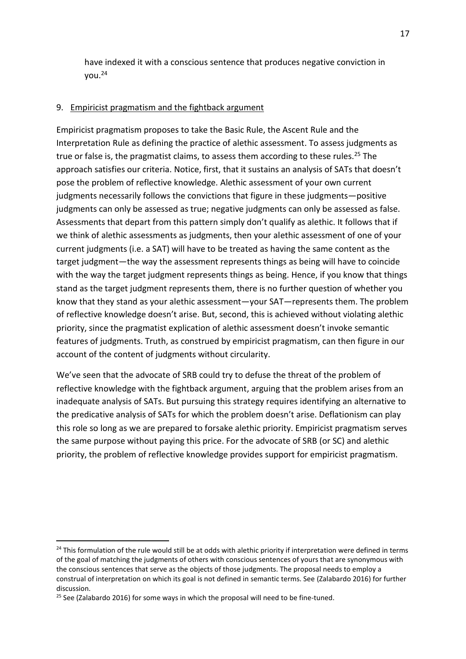have indexed it with a conscious sentence that produces negative conviction in you.<sup>24</sup>

## 9. Empiricist pragmatism and the fightback argument

Empiricist pragmatism proposes to take the Basic Rule, the Ascent Rule and the Interpretation Rule as defining the practice of alethic assessment. To assess judgments as true or false is, the pragmatist claims, to assess them according to these rules.<sup>25</sup> The approach satisfies our criteria. Notice, first, that it sustains an analysis of SATs that doesn't pose the problem of reflective knowledge. Alethic assessment of your own current judgments necessarily follows the convictions that figure in these judgments—positive judgments can only be assessed as true; negative judgments can only be assessed as false. Assessments that depart from this pattern simply don't qualify as alethic. It follows that if we think of alethic assessments as judgments, then your alethic assessment of one of your current judgments (i.e. a SAT) will have to be treated as having the same content as the target judgment—the way the assessment represents things as being will have to coincide with the way the target judgment represents things as being. Hence, if you know that things stand as the target judgment represents them, there is no further question of whether you know that they stand as your alethic assessment—your SAT—represents them. The problem of reflective knowledge doesn't arise. But, second, this is achieved without violating alethic priority, since the pragmatist explication of alethic assessment doesn't invoke semantic features of judgments. Truth, as construed by empiricist pragmatism, can then figure in our account of the content of judgments without circularity.

We've seen that the advocate of SRB could try to defuse the threat of the problem of reflective knowledge with the fightback argument, arguing that the problem arises from an inadequate analysis of SATs. But pursuing this strategy requires identifying an alternative to the predicative analysis of SATs for which the problem doesn't arise. Deflationism can play this role so long as we are prepared to forsake alethic priority. Empiricist pragmatism serves the same purpose without paying this price. For the advocate of SRB (or SC) and alethic priority, the problem of reflective knowledge provides support for empiricist pragmatism.

1

<sup>&</sup>lt;sup>24</sup> This formulation of the rule would still be at odds with alethic priority if interpretation were defined in terms of the goal of matching the judgments of others with conscious sentences of yours that are synonymous with the conscious sentences that serve as the objects of those judgments. The proposal needs to employ a construal of interpretation on which its goal is not defined in semantic terms. See [\(Zalabardo 2016\)](#page-17-20) for further discussion.

 $25$  See [\(Zalabardo 2016\)](#page-17-20) for some ways in which the proposal will need to be fine-tuned.